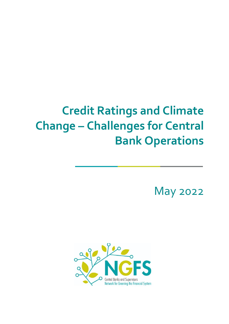# **Credit Ratings and Climate Change – Challenges for Central Bank Operations**

May 2022

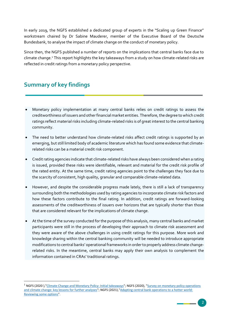In early 2019, the NGFS established a dedicated group of experts in the "Scaling up Green Finance" workstream chaired by Dr Sabine Mauderer, member of the Executive Board of the Deutsche Bundesbank, to analyse the impact of climate change on the conduct of monetary policy.

Since then, the NGFS published a number of reports on the implications that central banks face due to climate change.<sup>1</sup> This report highlights the key takeaways from a study on how climate-related risks are reflected in credit ratings from a monetary policy perspective.

## **Summary of key findings**

l

- Monetary policy implementation at many central banks relies on credit ratings to assess the creditworthiness of issuers and other financial market entities. Therefore, the degree to which credit ratings reflect material risks including climate-related risks is of great interest to the central banking community.
- The need to better understand how climate-related risks affect credit ratings is supported by an emerging, but still limited body of academic literature which has found some evidence that climaterelated risks can be a material credit risk component.
- Credit rating agencies indicate that climate-related risks have always been considered when a rating is issued, provided these risks were identifiable, relevant and material for the credit risk profile of the rated entity. At the same time, credit rating agencies point to the challenges they face due to the scarcity of consistent, high quality, granular and comparable climate-related data.
- However, and despite the considerable progress made lately, there is still a lack of transparency surrounding both the methodologies used by rating agencies to incorporate climate risk factors and how these factors contribute to the final rating. In addition, credit ratings are forward-looking assessments of the creditworthiness of issuers over horizons that are typically shorter than those that are considered relevant for the implications of climate change.
- At the time of the survey conducted for the purpose of this analysis, many central banks and market participants were still in the process of developing their approach to climate risk assessment and they were aware of the above challenges in using credit ratings for this purpose. More work and knowledge sharing within the central banking community will be needed to introduce appropriate modifications to central banks' operational frameworks in order to properly address climate changerelated risks. In the meantime, central banks may apply their own analysis to complement the information contained in CRAs' traditional ratings.

<sup>&</sup>lt;sup>1</sup> NGFS (2020), ["Climate Change and Monetary Policy: Initial takeaways"](https://www.ngfs.net/sites/default/files/medias/documents/climate_change_and_monetary_policy.pdf); NGFS (2020), "Survey on monetary policy operations [and climate change: key lessons for further analyses"](https://www.ngfs.net/sites/default/files/medias/documents/survey_on_monetary_policy_operations_and_climate_change.pdf); NGFS (2021),["Adapting central bank operations to a hotter world:](https://www.ngfs.net/sites/default/files/media/2021/06/17/ngfs_monetary_policy_operations_final.pdf)  [Reviewing some options"](https://www.ngfs.net/sites/default/files/media/2021/06/17/ngfs_monetary_policy_operations_final.pdf).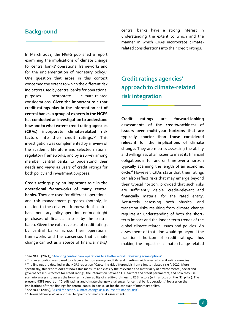#### **Background**

In March 2021, the NGFS published a report examining the implications of climate change for central banks' operational frameworks and for the implementation of monetary policy.<sup>2</sup> One question that arose in this context concerned the extent to which the different risk indicators used by central banks for operational purposes incorporate climate-related considerations. **Given the important role that credit ratings play in the information set of central banks, a group of experts in the NGFS has conducted an investigation to understand how and to what extent credit rating agencies (CRAs) incorporate climate-related risk factors into their credit ratings. 3,4** This investigation was complemented by a review of the academic literature and selected national regulatory frameworks, and by a survey among member central banks to understand their needs and views as users of credit ratings for both policy and investment purposes.

**Credit ratings play an important role in the operational frameworks of many central banks.** They are used for different operational and risk management purposes (notably, in relation to the collateral framework of central bank monetary policy operations or for outright purchases of financial assets by the central bank). Given the extensive use of credit ratings by central banks across their operational frameworks and the consensus that climate change can act as a source of financial risks, 5

 $\ddot{\phantom{a}}$ 

central banks have a strong interest in understanding the extent to which and the manner in which CRAs incorporate climaterelated considerations into their credit ratings.

# **Credit ratings agencies' approach to climate-related risk integration**

**Credit ratings are forward-looking assessments of the creditworthiness of issuers over multi-year horizons that are typically shorter than those considered relevant for the implications of climate change.** They are metrics assessing the ability and willingness of an issuer to meet its financial obligations in full and on time over a horizon typically spanning the length of an economic cycle. <sup>6</sup> However, CRAs state that their ratings can also reflect risks that may emerge beyond their typical horizon, provided that such risks are sufficiently visible, credit-relevant and financially material for the rated entity. Accurately assessing both physical and transition risks resulting from climate change requires an understanding of both the shortterm impact and the longer-term trends of the global climate-related issues and policies. An assessment of that kind would go beyond the traditional horizon of credit ratings, thus making the impact of climate change-related

<sup>4</sup> The findings are detailed in the NGFS report on "Capturing risk differentials from climate-related risks", 2022. More specifically, this report looks at how CRAs measure and classify the relevance and materiality of environmental, social and governance (ESG) factors for credit ratings, the interaction between ESG factors and credit parameters, and how they use scenario analysis to assess the long-term vulnerability of creditworthiness to ESG factors (with a focus on the "E" pillar). The present NGFS report on "Credit ratings and climate change – challenges for central bank operations" focuses on the implications of these findings for central banks, in particular for the conduct of monetary policy. <sup>5</sup> See NGFS (2019), "[A call for action. Climate change as a source of financial risk](https://www.ngfs.net/sites/default/files/medias/documents/synthese_ngfs-2019_-_17042019_0.pdf)".

<sup>&</sup>lt;sup>2</sup> See NGFS (2021), "[Adapting central bank operations to a hotter world: Reviewing some options](https://www.ngfs.net/sites/default/files/media/2021/06/17/ngfs_monetary_policy_operations_final.pdf)".

<sup>&</sup>lt;sup>3</sup> This investigation was based to a large extent on surveys and bilateral meetings with selected credit rating agencies.

<sup>6</sup> "Through-the-cycle" as opposed to "point-in-time" credit assessments.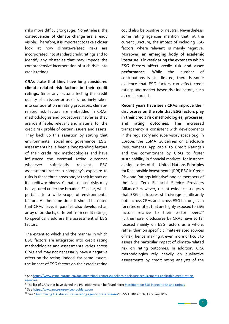risks more difficult to gauge. Nonetheless, the consequences of climate change are already visible. Therefore, it is important to take a closer look at how climate-related risks are incorporated into standard credit ratings and to identify any obstacles that may impede the comprehensive incorporation of such risks into credit ratings.

**CRAs state that they have long considered climate-related risk factors in their credit ratings.** Since any factor affecting the credit quality of an issuer or asset is routinely taken into consideration in rating processes, climaterelated risk factors are embedded in CRAs' methodologies and procedures insofar as they are identifiable, relevant and material for the credit risk profile of certain issuers and assets. They back up this assertion by stating that environmental, social and governance (ESG) assessments have been a longstanding feature of their credit risk methodologies and have influenced the eventual rating outcomes whenever sufficiently relevant. ESG assessments reflect a company's exposure to risks in these three areas and/or their impact on its creditworthiness. Climate-related risks may be captured under the broader "E" pillar, which pertains to a wide scope of environmental factors. At the same time, it should be noted that CRAs have, in parallel, also developed an array of products, different from credit ratings, to specifically address the assessment of ESG factors.

The extent to which and the manner in which ESG factors are integrated into credit rating methodologies and assessments varies across CRAs and may not necessarily have a negative effect on the rating. Indeed, for some issuers, the impact of ESG factors on their credit rating

could also be positive or neutral. Nevertheless, some rating agencies mention that, at the current juncture, the impact of including ESG factors, where relevant, is mainly negative. Moreover, **an emerging body of academic literature is investigating the extent to which ESG factors affect credit risk and asset performance**. While the number of contributions is still limited, there is some evidence that ESG factors can affect credit ratings and market-based risk indicators, such as credit spreads.

**Recent years have seen CRAs improve their disclosures on the role that ESG factors play in their credit risk methodologies, processes, and rating outcomes**. This increased transparency is consistent with developments in the regulatory and supervisory space (e.g. in Europe, the ESMA Guidelines on Disclosure Requirements Applicable to Credit Ratings7) and the commitment by CRAs to foster sustainability in financial markets, for instance as signatories of the United Nations Principles for Responsible Investment's (PRI) ESG in Credit Risk and Ratings Initiative<sup>8</sup> and as members of the Net Zero Financial Service Providers Alliance. <sup>9</sup> However, recent evidence suggests that ESG disclosures still diverge significantly both across CRAs and across ESG factors, even for rated entities that are highly exposed to ESG factors relative to their sector peers.<sup>10</sup> Furthermore, disclosures by CRAs have so far focused mainly on ESG factors as a whole, rather than on specific climate-related sources of risk, hence making it even more difficult to assess the particular impact of climate-related risk on rating outcomes. In addition, CRA methodologies rely heavily on qualitative assessments by credit rating analysts of the

 $\overline{a}$ 

<sup>7</sup> See [https://www.esma.europa.eu/document/final-report-guidelines-disclosure-requirements-applicable-credit-rating](https://www.esma.europa.eu/document/final-report-guidelines-disclosure-requirements-applicable-credit-rating-agencies)[agencies](https://www.esma.europa.eu/document/final-report-guidelines-disclosure-requirements-applicable-credit-rating-agencies)

<sup>&</sup>lt;sup>8</sup> The list of CRAs that have signed the PRI initiative can be found here: **Statement on ESG in credit risk and ratings** 

<sup>&</sup>lt;sup>9</sup> See [https://www.netzeroserviceproviders.com](https://www.netzeroserviceproviders.com/)

<sup>&</sup>lt;sup>10</sup> See "[Text mining ESG disclosures in rating agency press releases](https://www.esma.europa.eu/sites/default/files/library/esma80-195-1352_cra_esg_disclosures.pdf)", ESMA TRV article, February 2022.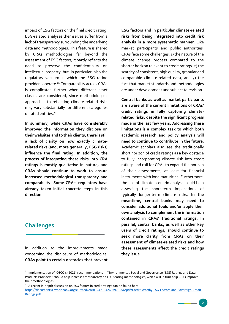impact of ESG factors on the final credit rating. ESG-related analyses themselves suffer from a lack of transparency surrounding the underlying data and methodologies. This feature is shared by CRAs methodologies far beyond the assessment of ESG factors; it partly reflects the need to preserve the confidentiality on intellectual property, but, in particular, also the regulatory vacuum in which the ESG rating providers operate.<sup>11</sup> Comparability across CRAs is complicated further when different asset classes are considered, since methodological approaches to reflecting climate-related risks may vary substantially for different categories of rated entities. 12

**In summary, while CRAs have considerably improved the information they disclose on their websites and to their clients, there is still a lack of clarity on how exactly climaterelated risks (and, more generally, ESG risks) influence the final rating. In addition, the process of integrating these risks into CRA ratings is mostly qualitative in nature, and CRAs should continue to work to ensure increased methodological transparency and comparability. Some CRAs' regulators have already taken initial concrete steps in this direction.**

### **Challenges**

 $\ddot{\phantom{a}}$ 

In addition to the improvements made concerning the disclosure of methodologies, **CRAs point to certain obstacles that prevent**  **ESG factors and in particular climate-related risks from being integrated into credit risk analysis in a more systematic manner**. Like market participants and public authorities, CRAs face some challenges: 1) the nature of the climate change process compared to the shorter horizon relevant to credit ratings, 2) the scarcity of consistent, high quality, granular and comparable climate-related data, and 3) the fact that market standards and methodologies are under development and subject to revision.

**Central banks as well as market participants are aware of the current limitations of CRAs' credit ratings in fully capturing climaterelated risks, despite the significant progress made in the last few years. Addressing these limitations is a complex task to which both academic research and policy analysis will need to continue to contribute in the future.** Academic scholars also see the traditionally short horizon of credit ratings as a key obstacle to fully incorporating climate risk into credit ratings and call for CRAs to expand the horizon of their assessments, at least for financial instruments with long maturities. Furthermore, the use of climate scenario analysis could help assessing the short-term implications of typically longer-term climate risks. **In the meantime, central banks may need to consider additional tools and/or apply their own analysis to complement the information contained in CRAs' traditional ratings. In parallel, central banks, as well as other key users of credit ratings, should continue to seek more clarity from CRAs on their assessment of climate-related risks and how these assessments affect the credit ratings they issue.**

<sup>&</sup>lt;sup>11</sup> Implementation of IOSCO's (2021) recommendations in "Environmental, Social and Governance (ESG) Ratings and Data Products Providers" should help increase transparency on ESG scoring methodologies, which will in turn help CRAs improve their methodologies.

 $12$  A recent in-depth discussion on ESG factors in credit ratings can be found here:

[https://documents1.worldbank.org/curated/en/812471642603970256/pdf/Credit-Worthy-ESG-Factors-and-Sovereign-Credit-](https://documents1.worldbank.org/curated/en/812471642603970256/pdf/Credit-Worthy-ESG-Factors-and-Sovereign-Credit-Ratings.pdf)[Ratings.pdf](https://documents1.worldbank.org/curated/en/812471642603970256/pdf/Credit-Worthy-ESG-Factors-and-Sovereign-Credit-Ratings.pdf)